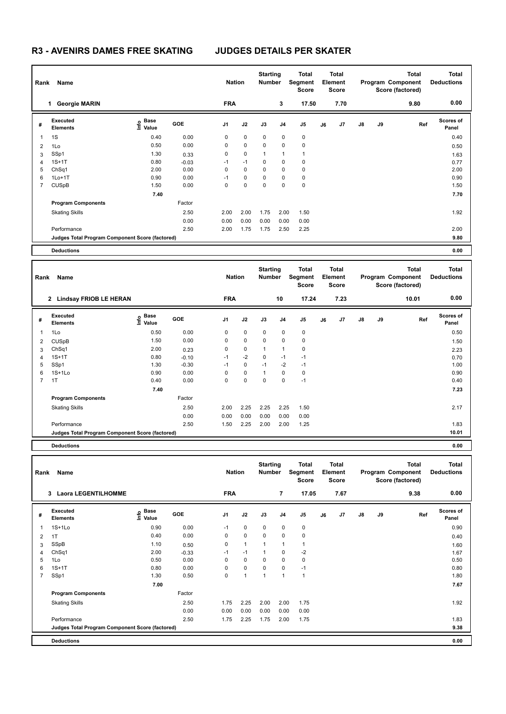| Rank           | Name                                            |                                  | <b>Nation</b> |                | <b>Starting</b><br><b>Number</b> |              | Total<br>Segment<br><b>Score</b> |             | <b>Total</b><br>Element<br><b>Score</b> |      |               | <b>Total</b><br>Program Component<br>Score (factored) | <b>Total</b><br><b>Deductions</b> |                           |
|----------------|-------------------------------------------------|----------------------------------|---------------|----------------|----------------------------------|--------------|----------------------------------|-------------|-----------------------------------------|------|---------------|-------------------------------------------------------|-----------------------------------|---------------------------|
|                | <b>Georgie MARIN</b><br>$\mathbf{1}$            |                                  |               | <b>FRA</b>     |                                  |              | 3                                | 17.50       |                                         | 7.70 |               |                                                       | 9.80                              | 0.00                      |
| #              | Executed<br><b>Elements</b>                     | <b>Base</b><br>e Base<br>⊆ Value | <b>GOE</b>    | J <sub>1</sub> | J2                               | J3           | J <sub>4</sub>                   | J5          | J6                                      | J7   | $\mathsf{J}8$ | J9                                                    | Ref                               | <b>Scores of</b><br>Panel |
| 1              | 1S                                              | 0.40                             | 0.00          | 0              | $\mathbf 0$                      | 0            | 0                                | $\mathbf 0$ |                                         |      |               |                                                       |                                   | 0.40                      |
| $\overline{2}$ | 1Lo                                             | 0.50                             | 0.00          | 0              | 0                                | 0            | 0                                | $\mathbf 0$ |                                         |      |               |                                                       |                                   | 0.50                      |
| 3              | SSp1                                            | 1.30                             | 0.33          | 0              | $\mathbf 0$                      | $\mathbf{1}$ | 1                                | 1           |                                         |      |               |                                                       |                                   | 1.63                      |
| $\overline{4}$ | $1S+1T$                                         | 0.80                             | $-0.03$       | $-1$           | $-1$                             | 0            | 0                                | 0           |                                         |      |               |                                                       |                                   | 0.77                      |
| 5              | ChSq1                                           | 2.00                             | 0.00          | 0              | $\mathbf 0$                      | 0            | 0                                | $\mathbf 0$ |                                         |      |               |                                                       |                                   | 2.00                      |
| 6              | $1Lo+1T$                                        | 0.90                             | 0.00          | $-1$           | $\mathbf 0$                      | 0            | 0                                | $\mathbf 0$ |                                         |      |               |                                                       |                                   | 0.90                      |
| 7              | <b>CUSpB</b>                                    | 1.50                             | 0.00          | 0              | 0                                | 0            | 0                                | $\mathbf 0$ |                                         |      |               |                                                       |                                   | 1.50                      |
|                |                                                 | 7.40                             |               |                |                                  |              |                                  |             |                                         |      |               |                                                       |                                   | 7.70                      |
|                | <b>Program Components</b>                       |                                  | Factor        |                |                                  |              |                                  |             |                                         |      |               |                                                       |                                   |                           |
|                | <b>Skating Skills</b>                           |                                  | 2.50          | 2.00           | 2.00                             | 1.75         | 2.00                             | 1.50        |                                         |      |               |                                                       |                                   | 1.92                      |
|                |                                                 |                                  | 0.00          | 0.00           | 0.00                             | 0.00         | 0.00                             | 0.00        |                                         |      |               |                                                       |                                   |                           |
|                | Performance                                     |                                  | 2.50          | 2.00           | 1.75                             | 1.75         | 2.50                             | 2.25        |                                         |      |               |                                                       |                                   | 2.00                      |
|                | Judges Total Program Component Score (factored) |                                  |               |                |                                  |              |                                  |             |                                         |      |               |                                                       |                                   | 9.80                      |
|                | <b>Deductions</b>                               |                                  |               |                |                                  |              |                                  |             |                                         |      |               |                                                       |                                   | 0.00                      |

| Rank           | Name                                            |                                  |            | <b>Nation</b>  |             | <b>Starting</b><br><b>Number</b> |      | Total<br>Segment<br><b>Score</b> |    | <b>Total</b><br>Element<br>Score |               |    | <b>Total</b><br>Program Component<br>Score (factored) | <b>Total</b><br><b>Deductions</b> |
|----------------|-------------------------------------------------|----------------------------------|------------|----------------|-------------|----------------------------------|------|----------------------------------|----|----------------------------------|---------------|----|-------------------------------------------------------|-----------------------------------|
|                | <b>Lindsay FRIOB LE HERAN</b><br>2              |                                  |            | <b>FRA</b>     |             |                                  | 10   | 17.24                            |    | 7.23                             |               |    | 10.01                                                 | 0.00                              |
| #              | Executed<br><b>Elements</b>                     | <b>Base</b><br>e Base<br>⊆ Value | <b>GOE</b> | J <sub>1</sub> | J2          | J3                               | J4   | J <sub>5</sub>                   | J6 | J7                               | $\mathsf{J}8$ | J9 | Ref                                                   | Scores of<br>Panel                |
| 1              | 1Lo                                             | 0.50                             | 0.00       | 0              | 0           | $\mathbf 0$                      | 0    | 0                                |    |                                  |               |    |                                                       | 0.50                              |
| 2              | <b>CUSpB</b>                                    | 1.50                             | 0.00       | $\mathbf 0$    | $\mathbf 0$ | $\mathbf 0$                      | 0    | $\pmb{0}$                        |    |                                  |               |    |                                                       | 1.50                              |
| 3              | ChSq1                                           | 2.00                             | 0.23       | 0              | $\mathbf 0$ | $\mathbf{1}$                     | 1    | 0                                |    |                                  |               |    |                                                       | 2.23                              |
| $\overline{4}$ | $1S+1T$                                         | 0.80                             | $-0.10$    | $-1$           | $-2$        | 0                                | $-1$ | $-1$                             |    |                                  |               |    |                                                       | 0.70                              |
| 5              | SSp1                                            | 1.30                             | $-0.30$    | $-1$           | 0           | $-1$                             | $-2$ | $-1$                             |    |                                  |               |    |                                                       | 1.00                              |
| 6              | $1S+1Lo$                                        | 0.90                             | 0.00       | 0              | $\mathbf 0$ | $\mathbf{1}$                     | 0    | 0                                |    |                                  |               |    |                                                       | 0.90                              |
| $\overline{7}$ | 1T                                              | 0.40                             | 0.00       | 0              | $\pmb{0}$   | 0                                | 0    | $-1$                             |    |                                  |               |    |                                                       | 0.40                              |
|                |                                                 | 7.40                             |            |                |             |                                  |      |                                  |    |                                  |               |    |                                                       | 7.23                              |
|                | <b>Program Components</b>                       |                                  | Factor     |                |             |                                  |      |                                  |    |                                  |               |    |                                                       |                                   |
|                | <b>Skating Skills</b>                           |                                  | 2.50       | 2.00           | 2.25        | 2.25                             | 2.25 | 1.50                             |    |                                  |               |    |                                                       | 2.17                              |
|                |                                                 |                                  | 0.00       | 0.00           | 0.00        | 0.00                             | 0.00 | 0.00                             |    |                                  |               |    |                                                       |                                   |
|                | Performance                                     |                                  | 2.50       | 1.50           | 2.25        | 2.00                             | 2.00 | 1.25                             |    |                                  |               |    |                                                       | 1.83                              |
|                | Judges Total Program Component Score (factored) |                                  |            |                |             |                                  |      |                                  |    |                                  |               |    |                                                       | 10.01                             |
|                | <b>Deductions</b>                               |                                  |            |                |             |                                  |      |                                  |    |                                  |               |    |                                                       | 0.00                              |

| Rank           | Name                                            |                                  |            | <b>Nation</b>  |              | <b>Starting</b><br><b>Number</b> |                | Total<br>Segment<br><b>Score</b> |    | <b>Total</b><br>Element<br><b>Score</b> |               |           | <b>Total</b><br>Program Component<br>Score (factored) | <b>Total</b><br><b>Deductions</b> |
|----------------|-------------------------------------------------|----------------------------------|------------|----------------|--------------|----------------------------------|----------------|----------------------------------|----|-----------------------------------------|---------------|-----------|-------------------------------------------------------|-----------------------------------|
|                | <b>Laora LEGENTILHOMME</b><br>$\mathbf{3}$      |                                  |            | <b>FRA</b>     |              |                                  | $\overline{7}$ | 17.05                            |    | 7.67                                    |               |           | 9.38                                                  | 0.00                              |
| #              | <b>Executed</b><br><b>Elements</b>              | <b>Base</b><br>o Base<br>⊆ Value | <b>GOE</b> | J <sub>1</sub> | J2           | J3                               | J <sub>4</sub> | J5                               | J6 | J7                                      | $\mathsf{J}8$ | <b>J9</b> | Ref                                                   | <b>Scores of</b><br>Panel         |
| 1              | $1S+1L0$                                        | 0.90                             | 0.00       | $-1$           | $\mathbf 0$  | $\Omega$                         | 0              | 0                                |    |                                         |               |           |                                                       | 0.90                              |
| 2              | 1T                                              | 0.40                             | 0.00       | 0              | $\mathbf 0$  | $\mathbf 0$                      | 0              | $\mathbf 0$                      |    |                                         |               |           |                                                       | 0.40                              |
| 3              | SSpB                                            | 1.10                             | 0.50       | 0              | $\mathbf{1}$ | $\mathbf{1}$                     | 1              | 1                                |    |                                         |               |           |                                                       | 1.60                              |
| 4              | ChSq1                                           | 2.00                             | $-0.33$    | $-1$           | $-1$         | $\mathbf{1}$                     | $\Omega$       | $-2$                             |    |                                         |               |           |                                                       | 1.67                              |
| 5              | 1Lo                                             | 0.50                             | 0.00       | 0              | $\mathbf 0$  | $\Omega$                         | 0              | $\mathbf 0$                      |    |                                         |               |           |                                                       | 0.50                              |
| 6              | $1S+1T$                                         | 0.80                             | 0.00       | 0              | $\mathbf 0$  | $\mathbf 0$                      | 0              | $-1$                             |    |                                         |               |           |                                                       | 0.80                              |
| $\overline{7}$ | SSp1                                            | 1.30                             | 0.50       | 0              | 1            | $\mathbf{1}$                     | 1              | $\overline{1}$                   |    |                                         |               |           |                                                       | 1.80                              |
|                |                                                 | 7.00                             |            |                |              |                                  |                |                                  |    |                                         |               |           |                                                       | 7.67                              |
|                | <b>Program Components</b>                       |                                  | Factor     |                |              |                                  |                |                                  |    |                                         |               |           |                                                       |                                   |
|                | <b>Skating Skills</b>                           |                                  | 2.50       | 1.75           | 2.25         | 2.00                             | 2.00           | 1.75                             |    |                                         |               |           |                                                       | 1.92                              |
|                |                                                 |                                  | 0.00       | 0.00           | 0.00         | 0.00                             | 0.00           | 0.00                             |    |                                         |               |           |                                                       |                                   |
|                | Performance                                     |                                  | 2.50       | 1.75           | 2.25         | 1.75                             | 2.00           | 1.75                             |    |                                         |               |           |                                                       | 1.83                              |
|                | Judges Total Program Component Score (factored) |                                  |            |                |              |                                  |                |                                  |    |                                         |               |           |                                                       | 9.38                              |
|                | <b>Deductions</b>                               |                                  |            |                |              |                                  |                |                                  |    |                                         |               |           |                                                       | 0.00                              |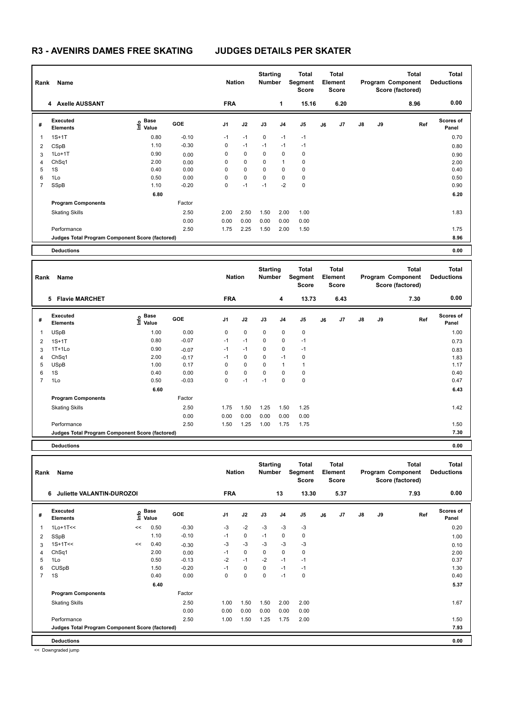| Rank           | Name                                            |                                  |         | <b>Nation</b>  |             | <b>Starting</b><br>Number |                | Total<br>Segment<br><b>Score</b> |    | <b>Total</b><br>Element<br><b>Score</b> |               |    | <b>Total</b><br>Program Component<br>Score (factored) | <b>Total</b><br><b>Deductions</b> |
|----------------|-------------------------------------------------|----------------------------------|---------|----------------|-------------|---------------------------|----------------|----------------------------------|----|-----------------------------------------|---------------|----|-------------------------------------------------------|-----------------------------------|
|                | 4 Axelle AUSSANT                                |                                  |         | <b>FRA</b>     |             |                           | 1              | 15.16                            |    | 6.20                                    |               |    | 8.96                                                  | 0.00                              |
| #              | Executed<br><b>Elements</b>                     | <b>Base</b><br>e Base<br>⊆ Value | GOE     | J <sub>1</sub> | J2          | J3                        | J <sub>4</sub> | J5                               | J6 | J7                                      | $\mathsf{J}8$ | J9 | Ref                                                   | <b>Scores of</b><br>Panel         |
| 1              | $1S+1T$                                         | 0.80                             | $-0.10$ | $-1$           | $-1$        | $\mathbf 0$               | $-1$           | $-1$                             |    |                                         |               |    |                                                       | 0.70                              |
| 2              | CSpB                                            | 1.10                             | $-0.30$ | 0              | $-1$        | $-1$                      | $-1$           | $-1$                             |    |                                         |               |    |                                                       | 0.80                              |
| 3              | $1Lo+1T$                                        | 0.90                             | 0.00    | 0              | $\mathbf 0$ | 0                         | 0              | $\mathbf 0$                      |    |                                         |               |    |                                                       | 0.90                              |
| 4              | ChSq1                                           | 2.00                             | 0.00    | 0              | $\mathbf 0$ | 0                         | 1              | 0                                |    |                                         |               |    |                                                       | 2.00                              |
| 5              | 1S                                              | 0.40                             | 0.00    | 0              | 0           | 0                         | $\Omega$       | 0                                |    |                                         |               |    |                                                       | 0.40                              |
| 6              | 1Lo                                             | 0.50                             | 0.00    | 0              | 0           | 0                         | 0              | $\mathbf 0$                      |    |                                         |               |    |                                                       | 0.50                              |
| $\overline{7}$ | SSpB                                            | 1.10                             | $-0.20$ | 0              | $-1$        | $-1$                      | $-2$           | $\mathbf 0$                      |    |                                         |               |    |                                                       | 0.90                              |
|                |                                                 | 6.80                             |         |                |             |                           |                |                                  |    |                                         |               |    |                                                       | 6.20                              |
|                | <b>Program Components</b>                       |                                  | Factor  |                |             |                           |                |                                  |    |                                         |               |    |                                                       |                                   |
|                | <b>Skating Skills</b>                           |                                  | 2.50    | 2.00           | 2.50        | 1.50                      | 2.00           | 1.00                             |    |                                         |               |    |                                                       | 1.83                              |
|                |                                                 |                                  | 0.00    | 0.00           | 0.00        | 0.00                      | 0.00           | 0.00                             |    |                                         |               |    |                                                       |                                   |
|                | Performance                                     |                                  | 2.50    | 1.75           | 2.25        | 1.50                      | 2.00           | 1.50                             |    |                                         |               |    |                                                       | 1.75                              |
|                | Judges Total Program Component Score (factored) |                                  |         |                |             |                           |                |                                  |    |                                         |               |    |                                                       | 8.96                              |
|                | <b>Deductions</b>                               |                                  |         |                |             |                           |                |                                  |    |                                         |               |    |                                                       | 0.00                              |

| Rank           | Name                                            |                                  |            | <b>Nation</b> |             | <b>Starting</b><br><b>Number</b> |      | Total<br>Segment<br><b>Score</b> |    | Total<br>Element<br><b>Score</b> |               |    | Total<br>Program Component<br>Score (factored) | <b>Total</b><br><b>Deductions</b> |
|----------------|-------------------------------------------------|----------------------------------|------------|---------------|-------------|----------------------------------|------|----------------------------------|----|----------------------------------|---------------|----|------------------------------------------------|-----------------------------------|
|                | <b>Flavie MARCHET</b><br>5                      |                                  |            | <b>FRA</b>    |             |                                  | 4    | 13.73                            |    | 6.43                             |               |    | 7.30                                           | 0.00                              |
| #              | Executed<br><b>Elements</b>                     | <b>Base</b><br>e Base<br>⊆ Value | <b>GOE</b> | J1            | J2          | J3                               | J4   | J <sub>5</sub>                   | J6 | J7                               | $\mathsf{J}8$ | J9 | Ref                                            | <b>Scores of</b><br>Panel         |
| 1              | <b>USpB</b>                                     | 1.00                             | 0.00       | 0             | $\mathbf 0$ | 0                                | 0    | 0                                |    |                                  |               |    |                                                | 1.00                              |
| 2              | $1S+1T$                                         | 0.80                             | $-0.07$    | $-1$          | $-1$        | 0                                | 0    | $-1$                             |    |                                  |               |    |                                                | 0.73                              |
| 3              | $1T+1L0$                                        | 0.90                             | $-0.07$    | $-1$          | $-1$        | 0                                | 0    | $-1$                             |    |                                  |               |    |                                                | 0.83                              |
| 4              | ChSq1                                           | 2.00                             | $-0.17$    | $-1$          | 0           | 0                                | $-1$ | 0                                |    |                                  |               |    |                                                | 1.83                              |
| 5              | <b>USpB</b>                                     | 1.00                             | 0.17       | 0             | $\mathbf 0$ | $\mathbf 0$                      | 1    |                                  |    |                                  |               |    |                                                | 1.17                              |
| 6              | 1S                                              | 0.40                             | 0.00       | 0             | $\mathbf 0$ | $\mathbf 0$                      | 0    | 0                                |    |                                  |               |    |                                                | 0.40                              |
| $\overline{7}$ | 1Lo                                             | 0.50                             | $-0.03$    | $\mathbf 0$   | $-1$        | $-1$                             | 0    | $\pmb{0}$                        |    |                                  |               |    |                                                | 0.47                              |
|                |                                                 | 6.60                             |            |               |             |                                  |      |                                  |    |                                  |               |    |                                                | 6.43                              |
|                | <b>Program Components</b>                       |                                  | Factor     |               |             |                                  |      |                                  |    |                                  |               |    |                                                |                                   |
|                | <b>Skating Skills</b>                           |                                  | 2.50       | 1.75          | 1.50        | 1.25                             | 1.50 | 1.25                             |    |                                  |               |    |                                                | 1.42                              |
|                |                                                 |                                  | 0.00       | 0.00          | 0.00        | 0.00                             | 0.00 | 0.00                             |    |                                  |               |    |                                                |                                   |
|                | Performance                                     |                                  | 2.50       | 1.50          | 1.25        | 1.00                             | 1.75 | 1.75                             |    |                                  |               |    |                                                | 1.50                              |
|                | Judges Total Program Component Score (factored) |                                  |            |               |             |                                  |      |                                  |    |                                  |               |    |                                                | 7.30                              |
|                | <b>Deductions</b>                               |                                  |            |               |             |                                  |      |                                  |    |                                  |               |    |                                                | 0.00                              |

| Rank           | Name                                            |    | <b>Nation</b>                    |         | <b>Starting</b><br><b>Number</b> |             | <b>Total</b><br>Segment<br><b>Score</b> |      | <b>Total</b><br>Element<br><b>Score</b> |    |      | <b>Total</b><br>Program Component<br>Score (factored) | <b>Total</b><br><b>Deductions</b> |      |                           |
|----------------|-------------------------------------------------|----|----------------------------------|---------|----------------------------------|-------------|-----------------------------------------|------|-----------------------------------------|----|------|-------------------------------------------------------|-----------------------------------|------|---------------------------|
|                | Juliette VALANTIN-DUROZOI<br>6                  |    |                                  |         | <b>FRA</b>                       |             |                                         | 13   | 13.30                                   |    | 5.37 |                                                       |                                   | 7.93 | 0.00                      |
| #              | Executed<br><b>Elements</b>                     |    | <b>Base</b><br>e Base<br>⊆ Value | GOE     | J <sub>1</sub>                   | J2          | J3                                      | J4   | J5                                      | J6 | J7   | $\mathsf{J}8$                                         | J9                                | Ref  | <b>Scores of</b><br>Panel |
| 1              | $1Lo+1T<<$                                      | << | 0.50                             | $-0.30$ | $-3$                             | $-2$        | $-3$                                    | $-3$ | $-3$                                    |    |      |                                                       |                                   |      | 0.20                      |
| 2              | SSpB                                            |    | 1.10                             | $-0.10$ | $-1$                             | $\mathbf 0$ | $-1$                                    | 0    | $\mathbf 0$                             |    |      |                                                       |                                   |      | 1.00                      |
| 3              | $1S+1T<<$                                       | << | 0.40                             | $-0.30$ | $-3$                             | $-3$        | $-3$                                    | $-3$ | $-3$                                    |    |      |                                                       |                                   |      | 0.10                      |
| 4              | ChSq1                                           |    | 2.00                             | 0.00    | $-1$                             | 0           | 0                                       | 0    | 0                                       |    |      |                                                       |                                   |      | 2.00                      |
| 5              | 1Lo                                             |    | 0.50                             | $-0.13$ | $-2$                             | $-1$        | $-2$                                    | $-1$ | $-1$                                    |    |      |                                                       |                                   |      | 0.37                      |
| 6              | <b>CUSpB</b>                                    |    | 1.50                             | $-0.20$ | $-1$                             | 0           | 0                                       | $-1$ | $-1$                                    |    |      |                                                       |                                   |      | 1.30                      |
| $\overline{7}$ | 1S                                              |    | 0.40                             | 0.00    | 0                                | 0           | 0                                       | $-1$ | $\mathbf 0$                             |    |      |                                                       |                                   |      | 0.40                      |
|                |                                                 |    | 6.40                             |         |                                  |             |                                         |      |                                         |    |      |                                                       |                                   |      | 5.37                      |
|                | <b>Program Components</b>                       |    |                                  | Factor  |                                  |             |                                         |      |                                         |    |      |                                                       |                                   |      |                           |
|                | <b>Skating Skills</b>                           |    |                                  | 2.50    | 1.00                             | 1.50        | 1.50                                    | 2.00 | 2.00                                    |    |      |                                                       |                                   |      | 1.67                      |
|                |                                                 |    |                                  | 0.00    | 0.00                             | 0.00        | 0.00                                    | 0.00 | 0.00                                    |    |      |                                                       |                                   |      |                           |
|                | Performance                                     |    |                                  | 2.50    | 1.00                             | 1.50        | 1.25                                    | 1.75 | 2.00                                    |    |      |                                                       |                                   |      | 1.50                      |
|                | Judges Total Program Component Score (factored) |    |                                  |         |                                  |             |                                         |      |                                         |    |      |                                                       |                                   |      | 7.93                      |
|                | <b>Deductions</b>                               |    |                                  |         |                                  |             |                                         |      |                                         |    |      |                                                       |                                   |      | 0.00                      |

<< Downgraded jump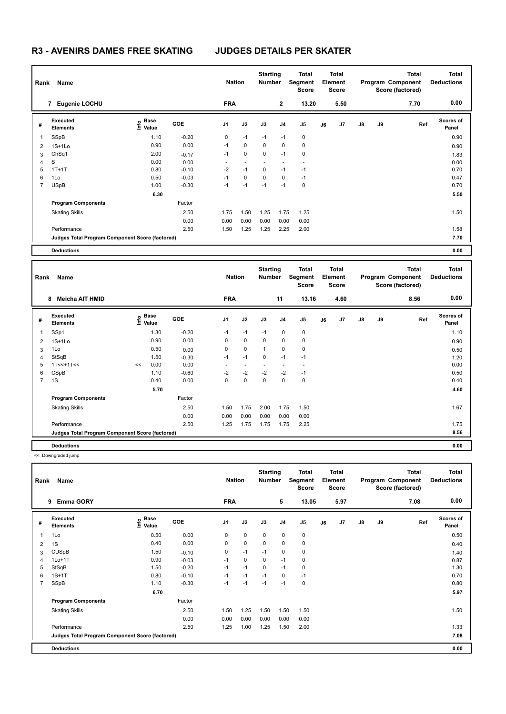| Rank           | Name                                            |                           |            | <b>Nation</b> |             | <b>Starting</b><br><b>Number</b> |                | <b>Total</b><br>Segment<br><b>Score</b> |    | <b>Total</b><br>Element<br><b>Score</b> |               |    | <b>Total</b><br>Program Component<br>Score (factored) | Total<br><b>Deductions</b> |
|----------------|-------------------------------------------------|---------------------------|------------|---------------|-------------|----------------------------------|----------------|-----------------------------------------|----|-----------------------------------------|---------------|----|-------------------------------------------------------|----------------------------|
|                | Eugenie LOCHU<br>7                              |                           |            | <b>FRA</b>    |             |                                  | $\overline{2}$ | 13.20                                   |    | 5.50                                    |               |    | 7.70                                                  | 0.00                       |
| #              | Executed<br><b>Elements</b>                     | Base<br>e Base<br>⊆ Value | <b>GOE</b> | J1            | J2          | J3                               | J <sub>4</sub> | J5                                      | J6 | J7                                      | $\mathsf{J}8$ | J9 | Ref                                                   | <b>Scores of</b><br>Panel  |
| 1              | SSpB                                            | 1.10                      | $-0.20$    | 0             | $-1$        | $-1$                             | $-1$           | 0                                       |    |                                         |               |    |                                                       | 0.90                       |
| 2              | $1S+1L0$                                        | 0.90                      | 0.00       | $-1$          | $\mathbf 0$ | 0                                | $\mathbf 0$    | 0                                       |    |                                         |               |    |                                                       | 0.90                       |
| 3              | ChSq1                                           | 2.00                      | $-0.17$    | $-1$          | $\mathbf 0$ | 0                                | $-1$           | $\mathbf 0$                             |    |                                         |               |    |                                                       | 1.83                       |
| 4              | S                                               | 0.00                      | 0.00       |               |             |                                  |                |                                         |    |                                         |               |    |                                                       | 0.00                       |
| 5              | $1T+1T$                                         | 0.80                      | $-0.10$    | $-2$          | $-1$        | 0                                | $-1$           | $-1$                                    |    |                                         |               |    |                                                       | 0.70                       |
| 6              | 1Lo                                             | 0.50                      | $-0.03$    | $-1$          | 0           | 0                                | 0              | $-1$                                    |    |                                         |               |    |                                                       | 0.47                       |
| $\overline{7}$ | <b>USpB</b>                                     | 1.00                      | $-0.30$    | $-1$          | $-1$        | $-1$                             | $-1$           | 0                                       |    |                                         |               |    |                                                       | 0.70                       |
|                |                                                 | 6.30                      |            |               |             |                                  |                |                                         |    |                                         |               |    |                                                       | 5.50                       |
|                | <b>Program Components</b>                       |                           | Factor     |               |             |                                  |                |                                         |    |                                         |               |    |                                                       |                            |
|                | <b>Skating Skills</b>                           |                           | 2.50       | 1.75          | 1.50        | 1.25                             | 1.75           | 1.25                                    |    |                                         |               |    |                                                       | 1.50                       |
|                |                                                 |                           | 0.00       | 0.00          | 0.00        | 0.00                             | 0.00           | 0.00                                    |    |                                         |               |    |                                                       |                            |
|                | Performance                                     |                           | 2.50       | 1.50          | 1.25        | 1.25                             | 2.25           | 2.00                                    |    |                                         |               |    |                                                       | 1.58                       |
|                | Judges Total Program Component Score (factored) |                           |            |               |             |                                  |                |                                         |    |                                         |               |    |                                                       | 7.70                       |
|                | <b>Deductions</b>                               |                           |            |               |             |                                  |                |                                         |    |                                         |               |    |                                                       | 0.00                       |

| Rank           | Name                                            |    |                                  |            | <b>Nation</b>            |                          | <b>Starting</b><br><b>Number</b> |                | Total<br>Segment<br><b>Score</b> |    | <b>Total</b><br>Element<br><b>Score</b> |               |    | <b>Total</b><br>Program Component<br>Score (factored) | <b>Total</b><br><b>Deductions</b> |
|----------------|-------------------------------------------------|----|----------------------------------|------------|--------------------------|--------------------------|----------------------------------|----------------|----------------------------------|----|-----------------------------------------|---------------|----|-------------------------------------------------------|-----------------------------------|
|                | Meicha AIT HMID<br>8                            |    |                                  |            | <b>FRA</b>               |                          |                                  | 11             | 13.16                            |    | 4.60                                    |               |    | 8.56                                                  | 0.00                              |
| #              | Executed<br><b>Elements</b>                     |    | <b>Base</b><br>e Base<br>⊆ Value | <b>GOE</b> | J1                       | J2                       | J3                               | J <sub>4</sub> | J5                               | J6 | J7                                      | $\mathsf{J}8$ | J9 | Ref                                                   | <b>Scores of</b><br>Panel         |
| 1              | SSp1                                            |    | 1.30                             | $-0.20$    | $-1$                     | $-1$                     | $-1$                             | 0              | 0                                |    |                                         |               |    |                                                       | 1.10                              |
| 2              | $1S+1Lo$                                        |    | 0.90                             | 0.00       | 0                        | $\mathbf 0$              | $\mathbf 0$                      | 0              | 0                                |    |                                         |               |    |                                                       | 0.90                              |
| 3              | 1Lo                                             |    | 0.50                             | 0.00       | 0                        | $\mathbf 0$              | $\mathbf{1}$                     | 0              | 0                                |    |                                         |               |    |                                                       | 0.50                              |
| 4              | StSqB                                           |    | 1.50                             | $-0.30$    | $-1$                     | $-1$                     | $\mathbf 0$                      | $-1$           | $-1$                             |    |                                         |               |    |                                                       | 1.20                              |
| 5              | $1T<<+1T<<$                                     | << | 0.00                             | 0.00       | $\overline{\phantom{0}}$ | $\overline{\phantom{a}}$ |                                  |                |                                  |    |                                         |               |    |                                                       | 0.00                              |
| 6              | CSpB                                            |    | 1.10                             | $-0.60$    | $-2$                     | $-2$                     | $-2$                             | $-2$           | $-1$                             |    |                                         |               |    |                                                       | 0.50                              |
| $\overline{7}$ | 1S                                              |    | 0.40                             | 0.00       | $\mathbf 0$              | $\pmb{0}$                | $\mathbf 0$                      | 0              | $\mathbf 0$                      |    |                                         |               |    |                                                       | 0.40                              |
|                |                                                 |    | 5.70                             |            |                          |                          |                                  |                |                                  |    |                                         |               |    |                                                       | 4.60                              |
|                | <b>Program Components</b>                       |    |                                  | Factor     |                          |                          |                                  |                |                                  |    |                                         |               |    |                                                       |                                   |
|                | <b>Skating Skills</b>                           |    |                                  | 2.50       | 1.50                     | 1.75                     | 2.00                             | 1.75           | 1.50                             |    |                                         |               |    |                                                       | 1.67                              |
|                |                                                 |    |                                  | 0.00       | 0.00                     | 0.00                     | 0.00                             | 0.00           | 0.00                             |    |                                         |               |    |                                                       |                                   |
|                | Performance                                     |    |                                  | 2.50       | 1.25                     | 1.75                     | 1.75                             | 1.75           | 2.25                             |    |                                         |               |    |                                                       | 1.75                              |
|                | Judges Total Program Component Score (factored) |    |                                  |            |                          |                          |                                  |                |                                  |    |                                         |               |    |                                                       | 8.56                              |
|                | <b>Deductions</b>                               |    |                                  |            |                          |                          |                                  |                |                                  |    |                                         |               |    |                                                       | 0.00                              |

<< Downgraded jump

| Rank           | Name                                            |                                  |         | <b>Nation</b>  |             | <b>Starting</b><br><b>Number</b> |                | <b>Total</b><br>Segment<br><b>Score</b> |    | <b>Total</b><br>Element<br><b>Score</b> |               |    | <b>Total</b><br>Program Component<br>Score (factored) | <b>Total</b><br><b>Deductions</b> |
|----------------|-------------------------------------------------|----------------------------------|---------|----------------|-------------|----------------------------------|----------------|-----------------------------------------|----|-----------------------------------------|---------------|----|-------------------------------------------------------|-----------------------------------|
|                | <b>Emma GORY</b><br>9                           |                                  |         | <b>FRA</b>     |             |                                  | 5              | 13.05                                   |    | 5.97                                    |               |    | 7.08                                                  | 0.00                              |
| #              | Executed<br><b>Elements</b>                     | <b>Base</b><br>e Base<br>⊆ Value | GOE     | J <sub>1</sub> | J2          | J3                               | J <sub>4</sub> | J <sub>5</sub>                          | J6 | J7                                      | $\mathsf{J}8$ | J9 | Ref                                                   | <b>Scores of</b><br>Panel         |
| 1              | 1Lo                                             | 0.50                             | 0.00    | 0              | 0           | 0                                | 0              | $\pmb{0}$                               |    |                                         |               |    |                                                       | 0.50                              |
| 2              | 1S                                              | 0.40                             | 0.00    | 0              | $\mathbf 0$ | 0                                | $\mathbf 0$    | $\pmb{0}$                               |    |                                         |               |    |                                                       | 0.40                              |
| 3              | <b>CUSpB</b>                                    | 1.50                             | $-0.10$ | 0              | $-1$        | $-1$                             | 0              | 0                                       |    |                                         |               |    |                                                       | 1.40                              |
| 4              | $1Lo+1T$                                        | 0.90                             | $-0.03$ | $-1$           | 0           | 0                                | $-1$           | 0                                       |    |                                         |               |    |                                                       | 0.87                              |
| 5              | StSqB                                           | 1.50                             | $-0.20$ | $-1$           | $-1$        | $\Omega$                         | $-1$           | 0                                       |    |                                         |               |    |                                                       | 1.30                              |
| 6              | $1S+1T$                                         | 0.80                             | $-0.10$ | $-1$           | $-1$        | $-1$                             | 0              | $-1$                                    |    |                                         |               |    |                                                       | 0.70                              |
| $\overline{7}$ | SSpB                                            | 1.10                             | $-0.30$ | $-1$           | $-1$        | $-1$                             | $-1$           | $\pmb{0}$                               |    |                                         |               |    |                                                       | 0.80                              |
|                |                                                 | 6.70                             |         |                |             |                                  |                |                                         |    |                                         |               |    |                                                       | 5.97                              |
|                | <b>Program Components</b>                       |                                  | Factor  |                |             |                                  |                |                                         |    |                                         |               |    |                                                       |                                   |
|                | <b>Skating Skills</b>                           |                                  | 2.50    | 1.50           | 1.25        | 1.50                             | 1.50           | 1.50                                    |    |                                         |               |    |                                                       | 1.50                              |
|                |                                                 |                                  | 0.00    | 0.00           | 0.00        | 0.00                             | 0.00           | 0.00                                    |    |                                         |               |    |                                                       |                                   |
|                | Performance                                     |                                  | 2.50    | 1.25           | 1.00        | 1.25                             | 1.50           | 2.00                                    |    |                                         |               |    |                                                       | 1.33                              |
|                | Judges Total Program Component Score (factored) |                                  |         |                |             |                                  |                |                                         |    |                                         |               |    |                                                       | 7.08                              |
|                | <b>Deductions</b>                               |                                  |         |                |             |                                  |                |                                         |    |                                         |               |    |                                                       | 0.00                              |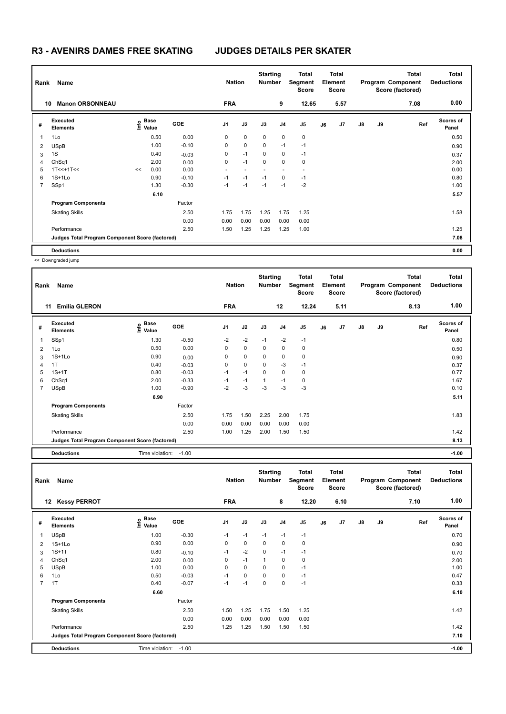| Rank | Name                                            |    |                   |            | <b>Nation</b>  |             | <b>Starting</b><br><b>Number</b> |                | <b>Total</b><br>Segment<br><b>Score</b> |    | <b>Total</b><br>Element<br><b>Score</b> |               |    | <b>Total</b><br>Program Component<br>Score (factored) | <b>Total</b><br><b>Deductions</b> |
|------|-------------------------------------------------|----|-------------------|------------|----------------|-------------|----------------------------------|----------------|-----------------------------------------|----|-----------------------------------------|---------------|----|-------------------------------------------------------|-----------------------------------|
|      | <b>Manon ORSONNEAU</b><br>10                    |    |                   |            | <b>FRA</b>     |             |                                  | 9              | 12.65                                   |    | 5.57                                    |               |    | 7.08                                                  | 0.00                              |
| #    | <b>Executed</b><br><b>Elements</b>              |    | e Base<br>⊆ Value | <b>GOE</b> | J <sub>1</sub> | J2          | J3                               | J <sub>4</sub> | J <sub>5</sub>                          | J6 | J7                                      | $\mathsf{J}8$ | J9 | Ref                                                   | <b>Scores of</b><br>Panel         |
| 1    | 1Lo                                             |    | 0.50              | 0.00       | 0              | $\mathbf 0$ | $\mathbf 0$                      | 0              | 0                                       |    |                                         |               |    |                                                       | 0.50                              |
| 2    | <b>USpB</b>                                     |    | 1.00              | $-0.10$    | 0              | $\mathbf 0$ | $\Omega$                         | $-1$           | $-1$                                    |    |                                         |               |    |                                                       | 0.90                              |
| 3    | 1S                                              |    | 0.40              | $-0.03$    | 0              | $-1$        | $\mathbf 0$                      | 0              | $-1$                                    |    |                                         |               |    |                                                       | 0.37                              |
| 4    | ChSq1                                           |    | 2.00              | 0.00       | 0              | $-1$        | $\mathbf 0$                      | 0              | 0                                       |    |                                         |               |    |                                                       | 2.00                              |
| 5    | $1T<<+1T<<$                                     | << | 0.00              | 0.00       |                |             |                                  |                | $\sim$                                  |    |                                         |               |    |                                                       | 0.00                              |
| 6    | $1S+1L0$                                        |    | 0.90              | $-0.10$    | $-1$           | $-1$        | $-1$                             | 0              | $-1$                                    |    |                                         |               |    |                                                       | 0.80                              |
| 7    | SSp1                                            |    | 1.30              | $-0.30$    | $-1$           | $-1$        | $-1$                             | $-1$           | $-2$                                    |    |                                         |               |    |                                                       | 1.00                              |
|      |                                                 |    | 6.10              |            |                |             |                                  |                |                                         |    |                                         |               |    |                                                       | 5.57                              |
|      | <b>Program Components</b>                       |    |                   | Factor     |                |             |                                  |                |                                         |    |                                         |               |    |                                                       |                                   |
|      | <b>Skating Skills</b>                           |    |                   | 2.50       | 1.75           | 1.75        | 1.25                             | 1.75           | 1.25                                    |    |                                         |               |    |                                                       | 1.58                              |
|      |                                                 |    |                   | 0.00       | 0.00           | 0.00        | 0.00                             | 0.00           | 0.00                                    |    |                                         |               |    |                                                       |                                   |
|      | Performance                                     |    |                   | 2.50       | 1.50           | 1.25        | 1.25                             | 1.25           | 1.00                                    |    |                                         |               |    |                                                       | 1.25                              |
|      | Judges Total Program Component Score (factored) |    |                   |            |                |             |                                  |                |                                         |    |                                         |               |    |                                                       | 7.08                              |
|      | <b>Deductions</b>                               |    |                   |            |                |             |                                  |                |                                         |    |                                         |               |    |                                                       | 0.00                              |

<< Downgraded jump

|                | Name<br>Rank<br><b>Emilia GLERON</b><br>11      |                   |            | <b>Nation</b>  |             | <b>Starting</b><br><b>Number</b> |      | Total<br>Segment<br><b>Score</b> |    | Total<br>Element<br>Score |               |    | <b>Total</b><br>Program Component<br>Score (factored) | <b>Total</b><br><b>Deductions</b> |
|----------------|-------------------------------------------------|-------------------|------------|----------------|-------------|----------------------------------|------|----------------------------------|----|---------------------------|---------------|----|-------------------------------------------------------|-----------------------------------|
|                |                                                 |                   |            | <b>FRA</b>     |             |                                  | 12   | 12.24                            |    | 5.11                      |               |    | 8.13                                                  | 1.00                              |
| #              | <b>Executed</b><br><b>Elements</b>              | e Base<br>E Value | <b>GOE</b> | J <sub>1</sub> | J2          | J3                               | J4   | J5                               | J6 | J7                        | $\mathsf{J}8$ | J9 | Ref                                                   | <b>Scores of</b><br>Panel         |
| 1              | SSp1                                            | 1.30              | $-0.50$    | $-2$           | $-2$        | $-1$                             | $-2$ | $-1$                             |    |                           |               |    |                                                       | 0.80                              |
| 2              | 1Lo                                             | 0.50              | 0.00       | 0              | $\pmb{0}$   | 0                                | 0    | 0                                |    |                           |               |    |                                                       | 0.50                              |
| 3              | $1S+1Lo$                                        | 0.90              | 0.00       | 0              | $\mathbf 0$ | 0                                | 0    | $\pmb{0}$                        |    |                           |               |    |                                                       | 0.90                              |
| 4              | 1T                                              | 0.40              | $-0.03$    | 0              | $\mathbf 0$ | $\mathbf 0$                      | $-3$ | $-1$                             |    |                           |               |    |                                                       | 0.37                              |
| 5              | $1S+1T$                                         | 0.80              | $-0.03$    | $-1$           | $-1$        | 0                                | 0    | 0                                |    |                           |               |    |                                                       | 0.77                              |
| 6              | ChSq1                                           | 2.00              | $-0.33$    | $-1$           | $-1$        | $\mathbf{1}$                     | $-1$ | 0                                |    |                           |               |    |                                                       | 1.67                              |
| $\overline{7}$ | <b>USpB</b>                                     | 1.00              | $-0.90$    | $-2$           | $-3$        | $-3$                             | $-3$ | $-3$                             |    |                           |               |    |                                                       | 0.10                              |
|                |                                                 | 6.90              |            |                |             |                                  |      |                                  |    |                           |               |    |                                                       | 5.11                              |
|                | <b>Program Components</b>                       |                   | Factor     |                |             |                                  |      |                                  |    |                           |               |    |                                                       |                                   |
|                | <b>Skating Skills</b>                           |                   | 2.50       | 1.75           | 1.50        | 2.25                             | 2.00 | 1.75                             |    |                           |               |    |                                                       | 1.83                              |
|                |                                                 |                   | 0.00       | 0.00           | 0.00        | 0.00                             | 0.00 | 0.00                             |    |                           |               |    |                                                       |                                   |
|                | Performance                                     |                   | 2.50       | 1.00           | 1.25        | 2.00                             | 1.50 | 1.50                             |    |                           |               |    |                                                       | 1.42                              |
|                | Judges Total Program Component Score (factored) |                   |            |                |             |                                  |      |                                  |    |                           |               |    |                                                       | 8.13                              |
|                | <b>Deductions</b>                               | Time violation:   | $-1.00$    |                |             |                                  |      |                                  |    |                           |               |    |                                                       | $-1.00$                           |

| Rank           | Name                                            |                           |            | <b>Nation</b>  |             | <b>Starting</b><br><b>Number</b> |      | <b>Total</b><br>Segment<br><b>Score</b> |    | <b>Total</b><br>Element<br><b>Score</b> |               |    | <b>Total</b><br>Program Component<br>Score (factored) | <b>Total</b><br><b>Deductions</b> |
|----------------|-------------------------------------------------|---------------------------|------------|----------------|-------------|----------------------------------|------|-----------------------------------------|----|-----------------------------------------|---------------|----|-------------------------------------------------------|-----------------------------------|
| $12 \,$        | <b>Kessy PERROT</b>                             |                           |            | <b>FRA</b>     |             |                                  | 8    | 12.20                                   |    | 6.10                                    |               |    | 7.10                                                  | 1.00                              |
| #              | Executed<br><b>Elements</b>                     | Base<br>e Base<br>⊆ Value | <b>GOE</b> | J <sub>1</sub> | J2          | J3                               | J4   | J <sub>5</sub>                          | J6 | J7                                      | $\mathsf{J}8$ | J9 | Ref                                                   | Scores of<br>Panel                |
| 1              | <b>USpB</b>                                     | 1.00                      | $-0.30$    | $-1$           | $-1$        | $-1$                             | $-1$ | $-1$                                    |    |                                         |               |    |                                                       | 0.70                              |
| 2              | $1S+1Lo$                                        | 0.90                      | 0.00       | 0              | $\mathbf 0$ | $\mathbf 0$                      | 0    | $\mathbf 0$                             |    |                                         |               |    |                                                       | 0.90                              |
| 3              | $1S+1T$                                         | 0.80                      | $-0.10$    | $-1$           | $-2$        | $\mathbf 0$                      | $-1$ | $-1$                                    |    |                                         |               |    |                                                       | 0.70                              |
| 4              | ChSq1                                           | 2.00                      | 0.00       | 0              | $-1$        | $\mathbf 1$                      | 0    | 0                                       |    |                                         |               |    |                                                       | 2.00                              |
| 5              | <b>USpB</b>                                     | 1.00                      | 0.00       | 0              | $\mathbf 0$ | 0                                | 0    | $-1$                                    |    |                                         |               |    |                                                       | 1.00                              |
| 6              | 1Lo                                             | 0.50                      | $-0.03$    | $-1$           | $\pmb{0}$   | 0                                | 0    | $-1$                                    |    |                                         |               |    |                                                       | 0.47                              |
| $\overline{7}$ | 1T                                              | 0.40                      | $-0.07$    | $-1$           | $-1$        | 0                                | 0    | $-1$                                    |    |                                         |               |    |                                                       | 0.33                              |
|                |                                                 | 6.60                      |            |                |             |                                  |      |                                         |    |                                         |               |    |                                                       | 6.10                              |
|                | <b>Program Components</b>                       |                           | Factor     |                |             |                                  |      |                                         |    |                                         |               |    |                                                       |                                   |
|                | <b>Skating Skills</b>                           |                           | 2.50       | 1.50           | 1.25        | 1.75                             | 1.50 | 1.25                                    |    |                                         |               |    |                                                       | 1.42                              |
|                |                                                 |                           | 0.00       | 0.00           | 0.00        | 0.00                             | 0.00 | 0.00                                    |    |                                         |               |    |                                                       |                                   |
|                | Performance                                     |                           | 2.50       | 1.25           | 1.25        | 1.50                             | 1.50 | 1.50                                    |    |                                         |               |    |                                                       | 1.42                              |
|                | Judges Total Program Component Score (factored) |                           |            |                |             |                                  |      |                                         |    |                                         |               |    |                                                       | 7.10                              |
|                | <b>Deductions</b>                               | Time violation:           | $-1.00$    |                |             |                                  |      |                                         |    |                                         |               |    |                                                       | $-1.00$                           |